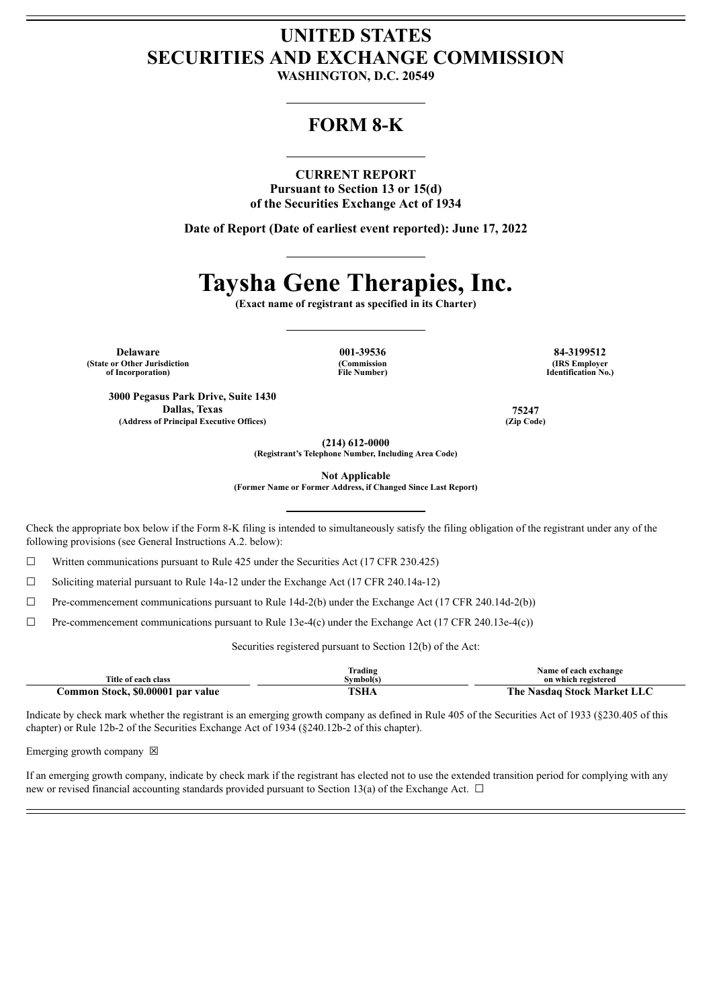## **UNITED STATES SECURITIES AND EXCHANGE COMMISSION**

**WASHINGTON, D.C. 20549**

### **FORM 8-K**

#### **CURRENT REPORT**

**Pursuant to Section 13 or 15(d) of the Securities Exchange Act of 1934**

**Date of Report (Date of earliest event reported): June 17, 2022**

# **Taysha Gene Therapies, Inc.**

**(Exact name of registrant as specified in its Charter)**

**Delaware 001-39536 84-3199512 (State or Other Jurisdiction of Incorporation)**

**(Commission File Number)**

**(IRS Employer Identification No.)**

**3000 Pegasus Park Drive, Suite 1430 Dallas, Texas 75247 (Address of Principal Executive Offices) (Zip Code)**

**(214) 612-0000 (Registrant's Telephone Number, Including Area Code)**

**Not Applicable**

**(Former Name or Former Address, if Changed Since Last Report)**

Check the appropriate box below if the Form 8-K filing is intended to simultaneously satisfy the filing obligation of the registrant under any of the following provisions (see General Instructions A.2. below):

☐ Written communications pursuant to Rule 425 under the Securities Act (17 CFR 230.425)

☐ Soliciting material pursuant to Rule 14a-12 under the Exchange Act (17 CFR 240.14a-12)

☐ Pre-commencement communications pursuant to Rule 14d-2(b) under the Exchange Act (17 CFR 240.14d-2(b))

 $\Box$  Pre-commencement communications pursuant to Rule 13e-4(c) under the Exchange Act (17 CFR 240.13e-4(c))

Securities registered pursuant to Section 12(b) of the Act:

| Title of each class               | Trading<br>Svmbol(s) | Name of each exchange<br>on which registered |
|-----------------------------------|----------------------|----------------------------------------------|
| Common Stock, \$0.00001 par value | <b>TSHA</b>          | The Nasdaq Stock Market LLC                  |

Indicate by check mark whether the registrant is an emerging growth company as defined in Rule 405 of the Securities Act of 1933 (§230.405 of this chapter) or Rule 12b-2 of the Securities Exchange Act of 1934 (§240.12b-2 of this chapter).

Emerging growth company  $\boxtimes$ 

If an emerging growth company, indicate by check mark if the registrant has elected not to use the extended transition period for complying with any new or revised financial accounting standards provided pursuant to Section 13(a) of the Exchange Act.  $\Box$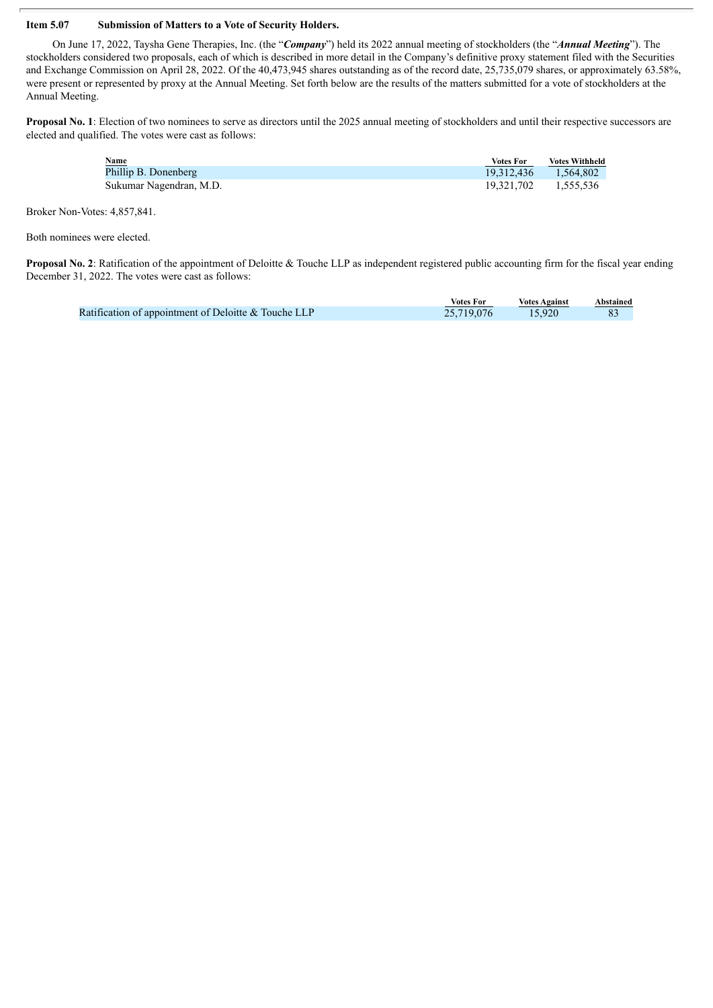#### **Item 5.07 Submission of Matters to a Vote of Security Holders.**

On June 17, 2022, Taysha Gene Therapies, Inc. (the "*Company*") held its 2022 annual meeting of stockholders (the "*Annual Meeting*"). The stockholders considered two proposals, each of which is described in more detail in the Company's definitive proxy statement filed with the Securities and Exchange Commission on April 28, 2022. Of the 40,473,945 shares outstanding as of the record date, 25,735,079 shares, or approximately 63.58%, were present or represented by proxy at the Annual Meeting. Set forth below are the results of the matters submitted for a vote of stockholders at the Annual Meeting.

Proposal No. 1: Election of two nominees to serve as directors until the 2025 annual meeting of stockholders and until their respective successors are elected and qualified. The votes were cast as follows:

| Name                    | <b>Votes For</b>     | <b>Votes Withheld</b> |
|-------------------------|----------------------|-----------------------|
| Phillip B. Donenberg    | 19.312.436           | 1,564,802             |
| Sukumar Nagendran, M.D. | 19.321.702 1.555.536 |                       |

Broker Non-Votes: 4,857,841.

Both nominees were elected.

**Proposal No. 2**: Ratification of the appointment of Deloitte & Touche LLP as independent registered public accounting firm for the fiscal year ending December 31, 2022. The votes were cast as follows:

|                                                      | <b>Votes For</b> | <b>Votes Against</b> | Abstained |
|------------------------------------------------------|------------------|----------------------|-----------|
| Ratification of appointment of Deloitte & Touche LLP | 25,719,076       | 15,920               |           |